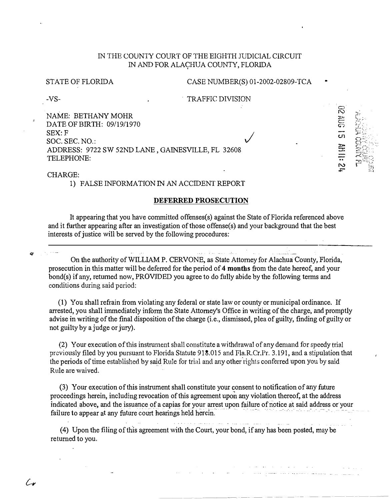# IN THE COUNTY COURT OF THE EIGHTH J1JDICIAL CIRCUIT IN AND FOR ALACHUA COUNTY, FLORIDA

#### STATE OF FLORIDA

#### CASE NUMBER(S) 01-2002-02809-TCA

 $\bigvee$ 

2:1119

 $5150120$ 

.

-VS-

. TRAFFIC DIVISION

NAME: BETHANY MOHR DATE OF BIRTH: 09/19/1970 SEX: F SOC. SEC. NO.: ADDRESS: 9722 SW 52ND LANE , GAINESVILLE, FL 32608 TELEPHONE:

CHARGE:

C-v

1) FALSE INFORMATION IN AN ACCIDENT REPORT

#### **DEFERRED PROSECUTION**

It appearing that you have committed offenses(s) against the State of Florida referenced above and it further appearing after an investigation of those offense(s) and your background that the best interests of justice will be served by the following procedures:

On the authority of WILLIAM P. CERVONE, as State Attorney for Alachua County, Florida, prosecution in this matter will be deferred for the period of **4 months** from the date hereof, and your bond(s) if any, returned now, PROVIDED you agree to do fully abide by the following terms and conditions during said period:

المتقدات والمسامسة المالج والم

(1) You shall refrain from violating any federal or state law or county or municipal ordinance. If arrested, you shall immediately infonn the State Attorney's Office in writing of the charge, and promptly advise in writing of the final disposition of the charge (i.e., dismissed, plea of guilty, finding of guilty or not guilty by a judge or jury).

(2) Your execution of this instrument shall constitute a withdrawal of any demand for speedy trial previously filed by you pursuant to Florida Statute 918.015 and Pla.R.Cr.Pr. 3.191, and a stipulation that the periods of time established by said Rule for trial and any other rights conferred upon you by said Rule are waived.

(3) Your execution of this instrument shall constitute your consent to notification of any future proceedings herein, including revocation of this agreement upon any violation thereof, at the address indicated above, and the issuance of a capias for your arrest upon failure of notice at said address or your<br>failure to annear at any future court hearings held herein malcated above, and the issuance of a capias for your arrest<br>failure to appear at any future court hearings held herein. - - .

(4) Upon the filing of this agreement with the Court, your bond, if any has been posted, may be returned to you.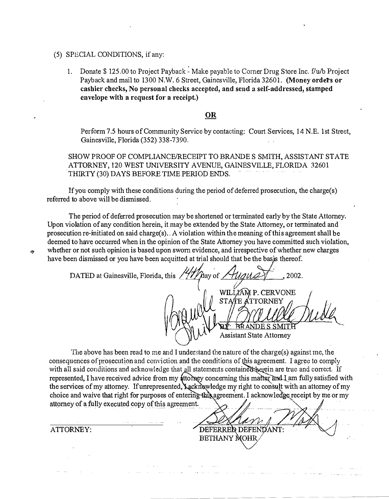#### (5) SPECIAL CONDITIONS, if any:

'. 1. Donate \$ 125.00 to Project Payback - Make payable to Corner Drug Store Inc. f/u/b Project Payback and mail to 1300 N.W. 6 Street, Gainesville, Florida 32601. (Money orders or **cashier checks, No personal checks accepted, and send a self-addressed, stamped** envelope with a request for a receipt.)

# **OR**

Perform 7.5 hours of Community Service by contacting: Court Services, 14 N.E. 1st Street, Gainesville, Florida (352) 338-7390.

SHOW PROOF OF COMPLIANCE/RECEIPT TO BRANDE S SMITH, ASSISTANT STATE ATTORNEY, 120 WEST UNNERSITY AVENUE, GAINESVILLE, FLORIDA 32601 . THIRTY (30) DAYS BEFORE TWE PERIOD ENDS.

If you comply with these conditions during the period of deferred prosecution, the charge(s) referred to above will be dismissed.

The period of deferred prosecution may be shortened or terminated early by the State Attorney. Upon violation of any condition herein, it may be extended by the State Attorney, or terminated and prosecution re-initiated on said charge(s)., A violation within the meaning of this agreement shall be deemed to have occurred when in the opinion of the State Attorney you have committed such violation, whether or not such opinion is based upon sworn evidence, and irrespective of whether new charges have been dismissed or you have been acquitted at trial should that be the basis thereof.

**DATED** at Gainesville, Florida, this  $\frac{1}{4}$   $\frac{1}{4}$   $\frac{1}{4}$   $\frac{1}{4}$   $\frac{1}{4}$   $\frac{1}{4}$   $\frac{1}{4}$   $\frac{1}{4}$   $\frac{1}{4}$   $\frac{1}{4}$   $\frac{1}{4}$   $\frac{1}{4}$   $\frac{1}{4}$   $\frac{1}{4}$   $\frac{1}{4}$   $\frac{1}{4}$   $\frac{1}{4}$   $\frac{1}{4}$   $\frac$ **WILLIAM P. CERVONE**<br>STAIE ATTORNEY W STATE ATOMIC MULL <u>EXAMENT MUSE</u> \.: Assistant State Attorney

The above has been read to me and I understand the nature of the charge(s) against me, the consequences of prosecution and conviction and the conditions of this agreement. I agree to comply with all said conditions and acknowledge that all statements contained begein are true and correct. If represented, I have received advice from my attorney concerning this marter and I am fully satisfied with the services of my attorney. If unrepresented, Lacknewledge my right to consult with an attorney of my choice and waive that right for purposes of entering this agreement. I acknowledge receipt by me or my . For  $\mathcal{A}$  , and  $\mathcal{A}$ attorney of a fully executed copy of this agreement.

DEFERRED DEFENDANT: BETHANY MOHR

ATTORNEY: